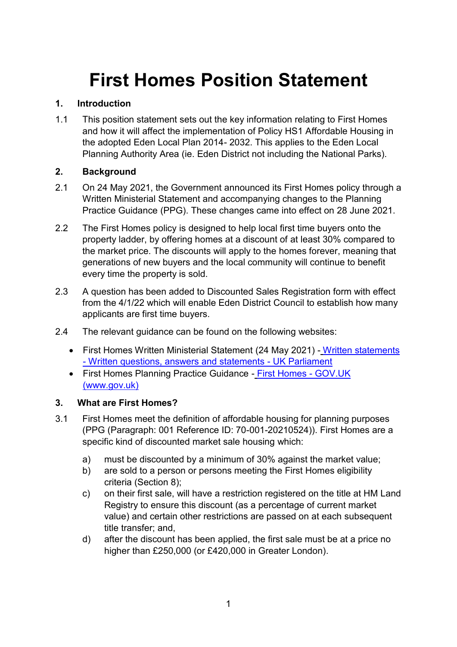# **First Homes Position Statement**

## **1. Introduction**

1.1 This position statement sets out the key information relating to First Homes and how it will affect the implementation of Policy HS1 Affordable Housing in the adopted Eden Local Plan 2014- 2032. This applies to the Eden Local Planning Authority Area (ie. Eden District not including the National Parks).

# **2. Background**

- 2.1 On 24 May 2021, the Government announced its First Homes policy through a Written Ministerial Statement and accompanying changes to the Planning Practice Guidance (PPG). These changes came into effect on 28 June 2021.
- 2.2 The First Homes policy is designed to help local first time buyers onto the property ladder, by offering homes at a discount of at least 30% compared to the market price. The discounts will apply to the homes forever, meaning that generations of new buyers and the local community will continue to benefit every time the property is sold.
- 2.3 A question has been added to Discounted Sales Registration form with effect from the 4/1/22 which will enable Eden District Council to establish how many applicants are first time buyers.
- 2.4 The relevant guidance can be found on the following websites:
	- First Homes Written Ministerial Statement (24 May 2021) [Written statements](https://questions-statements.parliament.uk/written-statements/detail/2021-05-24/hlws48)  - [Written questions, answers and statements -](https://questions-statements.parliament.uk/written-statements/detail/2021-05-24/hlws48) UK Parliament
	- First Homes Planning Practice Guidance [First Homes -](https://www.gov.uk/guidance/first-homes) GOV.UK [\(www.gov.uk\)](https://www.gov.uk/guidance/first-homes)

## **3. What are First Homes?**

- 3.1 First Homes meet the definition of affordable housing for planning purposes (PPG (Paragraph: 001 Reference ID: 70-001-20210524)). First Homes are a specific kind of discounted market sale housing which:
	- a) must be discounted by a minimum of 30% against the market value;
	- b) are sold to a person or persons meeting the First Homes eligibility criteria (Section 8);
	- c) on their first sale, will have a restriction registered on the title at HM Land Registry to ensure this discount (as a percentage of current market value) and certain other restrictions are passed on at each subsequent title transfer; and,
	- d) after the discount has been applied, the first sale must be at a price no higher than £250,000 (or £420,000 in Greater London).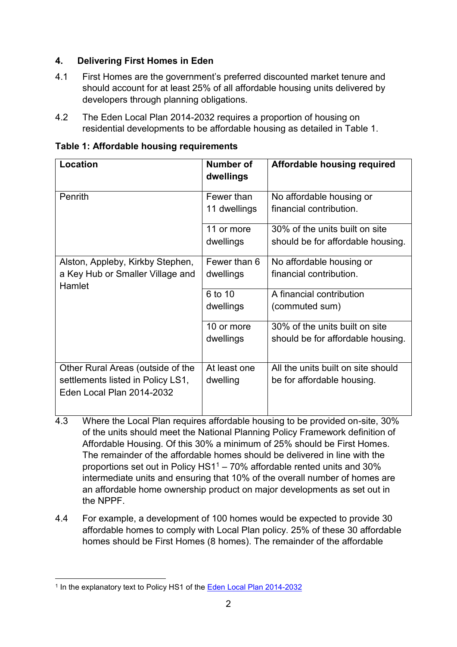## **4. Delivering First Homes in Eden**

- 4.1 First Homes are the government's preferred discounted market tenure and should account for at least 25% of all affordable housing units delivered by developers through planning obligations.
- 4.2 The Eden Local Plan 2014-2032 requires a proportion of housing on residential developments to be affordable housing as detailed in Table 1.

| Location                                                                                            | <b>Number of</b><br>dwellings | Affordable housing required                                         |  |
|-----------------------------------------------------------------------------------------------------|-------------------------------|---------------------------------------------------------------------|--|
| Penrith                                                                                             | Fewer than<br>11 dwellings    | No affordable housing or<br>financial contribution.                 |  |
|                                                                                                     | 11 or more<br>dwellings       | 30% of the units built on site<br>should be for affordable housing. |  |
| Alston, Appleby, Kirkby Stephen,<br>a Key Hub or Smaller Village and<br>Hamlet                      | Fewer than 6<br>dwellings     | No affordable housing or<br>financial contribution.                 |  |
|                                                                                                     | 6 to 10<br>dwellings          | A financial contribution<br>(commuted sum)                          |  |
|                                                                                                     | 10 or more<br>dwellings       | 30% of the units built on site<br>should be for affordable housing. |  |
| Other Rural Areas (outside of the<br>settlements listed in Policy LS1,<br>Eden Local Plan 2014-2032 | At least one<br>dwelling      | All the units built on site should<br>be for affordable housing.    |  |

**Table 1: Affordable housing requirements**

- 4.3 Where the Local Plan requires affordable housing to be provided on-site, 30% of the units should meet the National Planning Policy Framework definition of Affordable Housing. Of this 30% a minimum of 25% should be First Homes. The remainder of the affordable homes should be delivered in line with the proportions set out in Policy HS1<sup>1</sup> – 70% affordable rented units and 30% intermediate units and ensuring that 10% of the overall number of homes are an affordable home ownership product on major developments as set out in the NPPF.
- 4.4 For example, a development of 100 homes would be expected to provide 30 affordable homes to comply with Local Plan policy. 25% of these 30 affordable homes should be First Homes (8 homes). The remainder of the affordable

<sup>1</sup> <sup>1</sup> In the explanatory text to Policy HS1 of the [Eden Local Plan 2014-2032](https://www.eden.gov.uk/media/5032/edenlocalplan2014-2032finalwithoutforeword.pdf)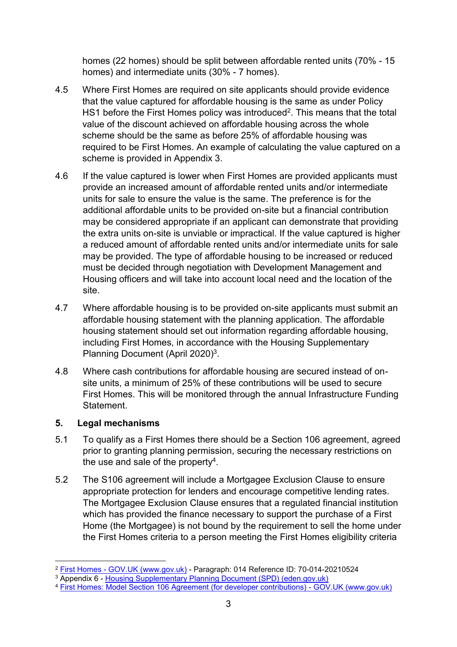homes (22 homes) should be split between affordable rented units (70% - 15 homes) and intermediate units (30% - 7 homes).

- 4.5 Where First Homes are required on site applicants should provide evidence that the value captured for affordable housing is the same as under Policy HS1 before the First Homes policy was introduced<sup>2</sup>. This means that the total value of the discount achieved on affordable housing across the whole scheme should be the same as before 25% of affordable housing was required to be First Homes. An example of calculating the value captured on a scheme is provided in Appendix 3.
- 4.6 If the value captured is lower when First Homes are provided applicants must provide an increased amount of affordable rented units and/or intermediate units for sale to ensure the value is the same. The preference is for the additional affordable units to be provided on-site but a financial contribution may be considered appropriate if an applicant can demonstrate that providing the extra units on-site is unviable or impractical. If the value captured is higher a reduced amount of affordable rented units and/or intermediate units for sale may be provided. The type of affordable housing to be increased or reduced must be decided through negotiation with Development Management and Housing officers and will take into account local need and the location of the site.
- 4.7 Where affordable housing is to be provided on-site applicants must submit an affordable housing statement with the planning application. The affordable housing statement should set out information regarding affordable housing, including First Homes, in accordance with the Housing Supplementary Planning Document (April 2020)<sup>3</sup>.
- 4.8 Where cash contributions for affordable housing are secured instead of onsite units, a minimum of 25% of these contributions will be used to secure First Homes. This will be monitored through the annual Infrastructure Funding Statement.

# **5. Legal mechanisms**

- 5.1 To qualify as a First Homes there should be a Section 106 agreement, agreed prior to granting planning permission, securing the necessary restrictions on the use and sale of the property<sup>4</sup>.
- 5.2 The S106 agreement will include a Mortgagee Exclusion Clause to ensure appropriate protection for lenders and encourage competitive lending rates. The Mortgagee Exclusion Clause ensures that a regulated financial institution which has provided the finance necessary to support the purchase of a First Home (the Mortgagee) is not bound by the requirement to sell the home under the First Homes criteria to a person meeting the First Homes eligibility criteria

<sup>1</sup> <sup>2</sup> First Homes - [GOV.UK \(www.gov.uk\)](https://www.gov.uk/guidance/first-homes) - Paragraph: 014 Reference ID: 70-014-20210524

<sup>&</sup>lt;sup>3</sup> Appendix 6 - [Housing Supplementary Planning Document \(SPD\) \(eden.gov.uk\)](https://www.eden.gov.uk/media/5721/housing_spd_april_2020.pdf)

<sup>4</sup> [First Homes: Model Section 106 Agreement \(for developer contributions\) -](https://www.gov.uk/government/publications/first-homes-model-section-106-agreement-for-developer-contributions?utm_medium=email&utm_campaign=govuk-notifications&utm_source=34361185-84bd-4302-8689-0f5fb2aed2e4&utm_content=immediately) GOV.UK (www.gov.uk)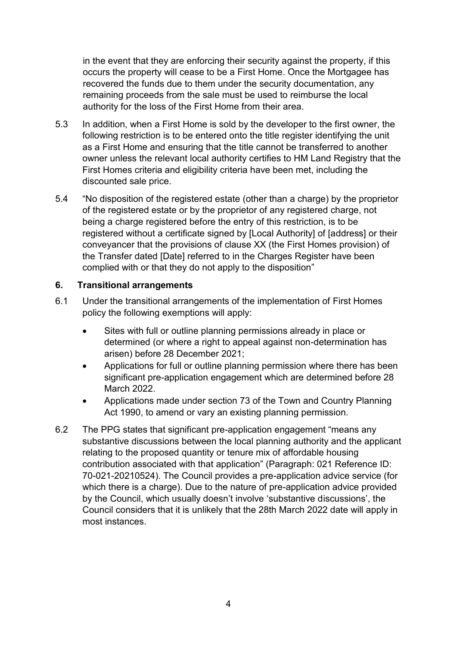in the event that they are enforcing their security against the property, if this occurs the property will cease to be a First Home. Once the Mortgagee has recovered the funds due to them under the security documentation, any remaining proceeds from the sale must be used to reimburse the local authority for the loss of the First Home from their area.

- 5.3 In addition, when a First Home is sold by the developer to the first owner, the following restriction is to be entered onto the title register identifying the unit as a First Home and ensuring that the title cannot be transferred to another owner unless the relevant local authority certifies to HM Land Registry that the First Homes criteria and eligibility criteria have been met, including the discounted sale price.
- 5.4 "No disposition of the registered estate (other than a charge) by the proprietor of the registered estate or by the proprietor of any registered charge, not being a charge registered before the entry of this restriction, is to be registered without a certificate signed by [Local Authority] of [address] or their conveyancer that the provisions of clause XX (the First Homes provision) of the Transfer dated [Date] referred to in the Charges Register have been complied with or that they do not apply to the disposition"

#### **6. Transitional arrangements**

- 6.1 Under the transitional arrangements of the implementation of First Homes policy the following exemptions will apply:
	- Sites with full or outline planning permissions already in place or determined (or where a right to appeal against non-determination has arisen) before 28 December 2021;
	- Applications for full or outline planning permission where there has been significant pre-application engagement which are determined before 28 March 2022.
	- Applications made under section 73 of the Town and Country Planning Act 1990, to amend or vary an existing planning permission.
- 6.2 The PPG states that significant pre-application engagement "means any substantive discussions between the local planning authority and the applicant relating to the proposed quantity or tenure mix of affordable housing contribution associated with that application" (Paragraph: 021 Reference ID: 70-021-20210524). The Council provides a pre-application advice service (for which there is a charge). Due to the nature of pre-application advice provided by the Council, which usually doesn't involve 'substantive discussions', the Council considers that it is unlikely that the 28th March 2022 date will apply in most instances.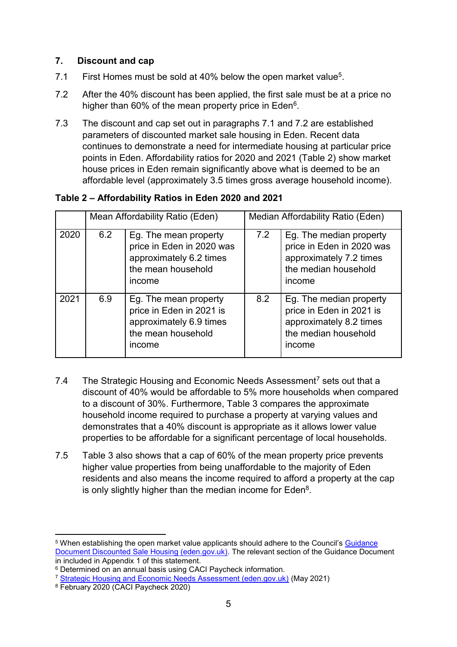## **7. Discount and cap**

- 7.1 First Homes must be sold at 40% below the open market value<sup>5</sup>.
- 7.2 After the 40% discount has been applied, the first sale must be at a price no higher than 60% of the mean property price in Eden<sup>6</sup>.
- 7.3 The discount and cap set out in paragraphs 7.1 and 7.2 are established parameters of discounted market sale housing in Eden. Recent data continues to demonstrate a need for intermediate housing at particular price points in Eden. Affordability ratios for 2020 and 2021 (Table 2) show market house prices in Eden remain significantly above what is deemed to be an affordable level (approximately 3.5 times gross average household income).

# **Table 2 – Affordability Ratios in Eden 2020 and 2021**

|      | Mean Affordability Ratio (Eden) |                                                                                                               | Median Affordability Ratio (Eden) |                                                                                                                   |  |
|------|---------------------------------|---------------------------------------------------------------------------------------------------------------|-----------------------------------|-------------------------------------------------------------------------------------------------------------------|--|
| 2020 | 6.2                             | Eg. The mean property<br>price in Eden in 2020 was<br>approximately 6.2 times<br>the mean household<br>income | 7.2                               | Eg. The median property<br>price in Eden in 2020 was<br>approximately 7.2 times<br>the median household<br>income |  |
| 2021 | 6.9                             | Eg. The mean property<br>price in Eden in 2021 is<br>approximately 6.9 times<br>the mean household<br>income  | 8.2                               | Eg. The median property<br>price in Eden in 2021 is<br>approximately 8.2 times<br>the median household<br>income  |  |

- 7.4 The Strategic Housing and Economic Needs Assessment<sup>7</sup> sets out that a discount of 40% would be affordable to 5% more households when compared to a discount of 30%. Furthermore, Table 3 compares the approximate household income required to purchase a property at varying values and demonstrates that a 40% discount is appropriate as it allows lower value properties to be affordable for a significant percentage of local households.
- 7.5 Table 3 also shows that a cap of 60% of the mean property price prevents higher value properties from being unaffordable to the majority of Eden residents and also means the income required to afford a property at the cap is only slightly higher than the median income for Eden $^8$ .

1

<sup>5</sup> When establishing the open market value applicants should adhere to the Council's [Guidance](https://www.eden.gov.uk/media/5807/guidance_document_for_discounted_sale_housing.pdf)  [Document Discounted Sale Housing \(eden.gov.uk\).](https://www.eden.gov.uk/media/5807/guidance_document_for_discounted_sale_housing.pdf) The relevant section of the Guidance Document in included in Appendix 1 of this statement.

<sup>6</sup> Determined on an annual basis using CACI Paycheck information.

<sup>7</sup> [Strategic Housing and Economic Needs Assessment \(eden.gov.uk\)](https://www.eden.gov.uk/media/6061/final_strategic_housing_and_economic_needs_assessment_240521.pdf) (May 2021)

<sup>8</sup> February 2020 (CACI Paycheck 2020)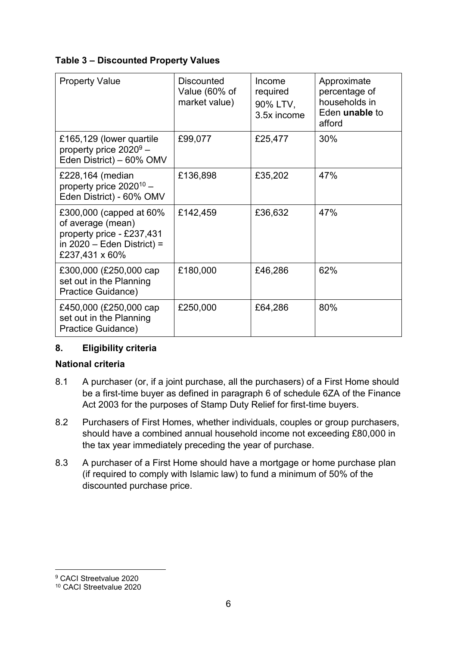## **Table 3 – Discounted Property Values**

| <b>Property Value</b>                                                                                                       | <b>Discounted</b><br>Value (60% of<br>market value) | Income<br>required<br>90% LTV,<br>3.5x income | Approximate<br>percentage of<br>households in<br>Eden <b>unable</b> to<br>afford |
|-----------------------------------------------------------------------------------------------------------------------------|-----------------------------------------------------|-----------------------------------------------|----------------------------------------------------------------------------------|
| £165,129 (lower quartile<br>property price $2020^9$ –<br>Eden District) - 60% OMV                                           | £99,077                                             | £25,477                                       | 30%                                                                              |
| £228,164 (median<br>property price $2020^{10}$ –<br>Eden District) - 60% OMV                                                | £136,898                                            | £35,202                                       | 47%                                                                              |
| £300,000 (capped at 60%<br>of average (mean)<br>property price - £237,431<br>in $2020$ – Eden District) =<br>£237,431 x 60% | £142,459                                            | £36,632                                       | 47%                                                                              |
| £300,000 (£250,000 cap<br>set out in the Planning<br>Practice Guidance)                                                     | £180,000                                            | £46,286                                       | 62%                                                                              |
| £450,000 (£250,000 cap<br>set out in the Planning<br>Practice Guidance)                                                     | £250,000                                            | £64,286                                       | 80%                                                                              |

# **8. Eligibility criteria**

## **National criteria**

- 8.1 A purchaser (or, if a joint purchase, all the purchasers) of a First Home should be a first-time buyer as defined in paragraph 6 of schedule 6ZA of the Finance Act 2003 for the purposes of Stamp Duty Relief for first-time buyers.
- 8.2 Purchasers of First Homes, whether individuals, couples or group purchasers, should have a combined annual household income not exceeding £80,000 in the tax year immediately preceding the year of purchase.
- 8.3 A purchaser of a First Home should have a mortgage or home purchase plan (if required to comply with Islamic law) to fund a minimum of 50% of the discounted purchase price.

1

<sup>9</sup> CACI Streetvalue 2020

<sup>10</sup> CACI Streetvalue 2020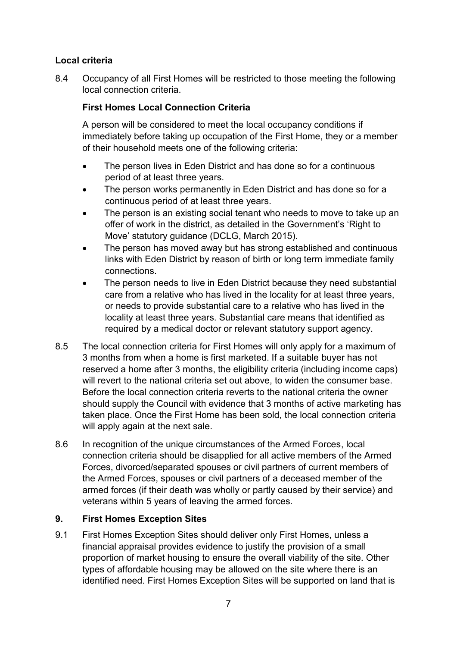# **Local criteria**

8.4 Occupancy of all First Homes will be restricted to those meeting the following local connection criteria.

## **First Homes Local Connection Criteria**

A person will be considered to meet the local occupancy conditions if immediately before taking up occupation of the First Home, they or a member of their household meets one of the following criteria:

- The person lives in Eden District and has done so for a continuous period of at least three years.
- The person works permanently in Eden District and has done so for a continuous period of at least three years.
- The person is an existing social tenant who needs to move to take up an offer of work in the district, as detailed in the Government's 'Right to Move' statutory guidance (DCLG, March 2015).
- The person has moved away but has strong established and continuous links with Eden District by reason of birth or long term immediate family connections.
- The person needs to live in Eden District because they need substantial care from a relative who has lived in the locality for at least three years, or needs to provide substantial care to a relative who has lived in the locality at least three years. Substantial care means that identified as required by a medical doctor or relevant statutory support agency.
- 8.5 The local connection criteria for First Homes will only apply for a maximum of 3 months from when a home is first marketed. If a suitable buyer has not reserved a home after 3 months, the eligibility criteria (including income caps) will revert to the national criteria set out above, to widen the consumer base. Before the local connection criteria reverts to the national criteria the owner should supply the Council with evidence that 3 months of active marketing has taken place. Once the First Home has been sold, the local connection criteria will apply again at the next sale.
- 8.6 In recognition of the unique circumstances of the Armed Forces, local connection criteria should be disapplied for all active members of the Armed Forces, divorced/separated spouses or civil partners of current members of the Armed Forces, spouses or civil partners of a deceased member of the armed forces (if their death was wholly or partly caused by their service) and veterans within 5 years of leaving the armed forces.

## **9. First Homes Exception Sites**

9.1 First Homes Exception Sites should deliver only First Homes, unless a financial appraisal provides evidence to justify the provision of a small proportion of market housing to ensure the overall viability of the site. Other types of affordable housing may be allowed on the site where there is an identified need. First Homes Exception Sites will be supported on land that is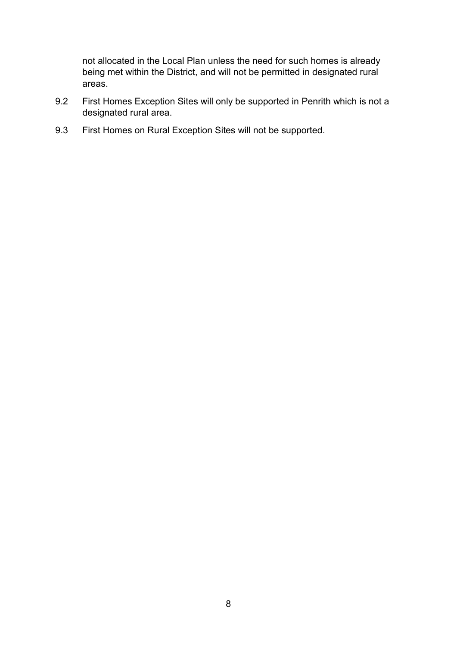not allocated in the Local Plan unless the need for such homes is already being met within the District, and will not be permitted in designated rural areas.

- 9.2 First Homes Exception Sites will only be supported in Penrith which is not a designated rural area.
- 9.3 First Homes on Rural Exception Sites will not be supported.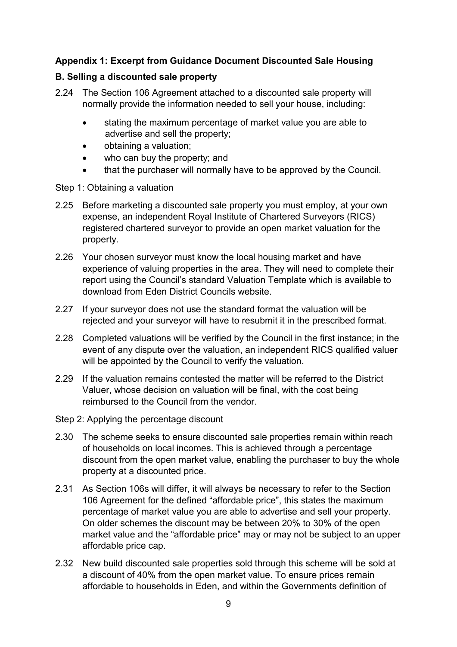## **Appendix 1: Excerpt from Guidance Document Discounted Sale Housing**

#### **B. Selling a discounted sale property**

- 2.24 The Section 106 Agreement attached to a discounted sale property will normally provide the information needed to sell your house, including:
	- stating the maximum percentage of market value you are able to advertise and sell the property;
	- obtaining a valuation;
	- who can buy the property; and
	- that the purchaser will normally have to be approved by the Council.
- Step 1: Obtaining a valuation
- 2.25 Before marketing a discounted sale property you must employ, at your own expense, an independent Royal Institute of Chartered Surveyors (RICS) registered chartered surveyor to provide an open market valuation for the property.
- 2.26 Your chosen surveyor must know the local housing market and have experience of valuing properties in the area. They will need to complete their report using the Council's standard Valuation Template which is available to download from Eden District Councils website.
- 2.27 If your surveyor does not use the standard format the valuation will be rejected and your surveyor will have to resubmit it in the prescribed format.
- 2.28 Completed valuations will be verified by the Council in the first instance; in the event of any dispute over the valuation, an independent RICS qualified valuer will be appointed by the Council to verify the valuation.
- 2.29 If the valuation remains contested the matter will be referred to the District Valuer, whose decision on valuation will be final, with the cost being reimbursed to the Council from the vendor.
- Step 2: Applying the percentage discount
- 2.30 The scheme seeks to ensure discounted sale properties remain within reach of households on local incomes. This is achieved through a percentage discount from the open market value, enabling the purchaser to buy the whole property at a discounted price.
- 2.31 As Section 106s will differ, it will always be necessary to refer to the Section 106 Agreement for the defined "affordable price", this states the maximum percentage of market value you are able to advertise and sell your property. On older schemes the discount may be between 20% to 30% of the open market value and the "affordable price" may or may not be subject to an upper affordable price cap.
- 2.32 New build discounted sale properties sold through this scheme will be sold at a discount of 40% from the open market value. To ensure prices remain affordable to households in Eden, and within the Governments definition of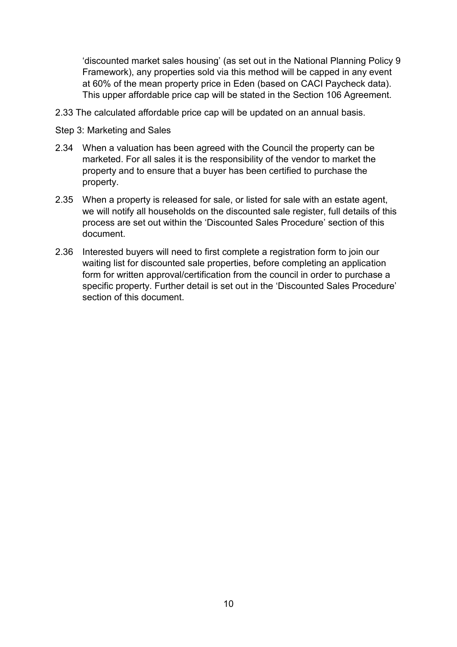'discounted market sales housing' (as set out in the National Planning Policy 9 Framework), any properties sold via this method will be capped in any event at 60% of the mean property price in Eden (based on CACI Paycheck data). This upper affordable price cap will be stated in the Section 106 Agreement.

- 2.33 The calculated affordable price cap will be updated on an annual basis.
- Step 3: Marketing and Sales
- 2.34 When a valuation has been agreed with the Council the property can be marketed. For all sales it is the responsibility of the vendor to market the property and to ensure that a buyer has been certified to purchase the property.
- 2.35 When a property is released for sale, or listed for sale with an estate agent, we will notify all households on the discounted sale register, full details of this process are set out within the 'Discounted Sales Procedure' section of this document.
- 2.36 Interested buyers will need to first complete a registration form to join our waiting list for discounted sale properties, before completing an application form for written approval/certification from the council in order to purchase a specific property. Further detail is set out in the 'Discounted Sales Procedure' section of this document.